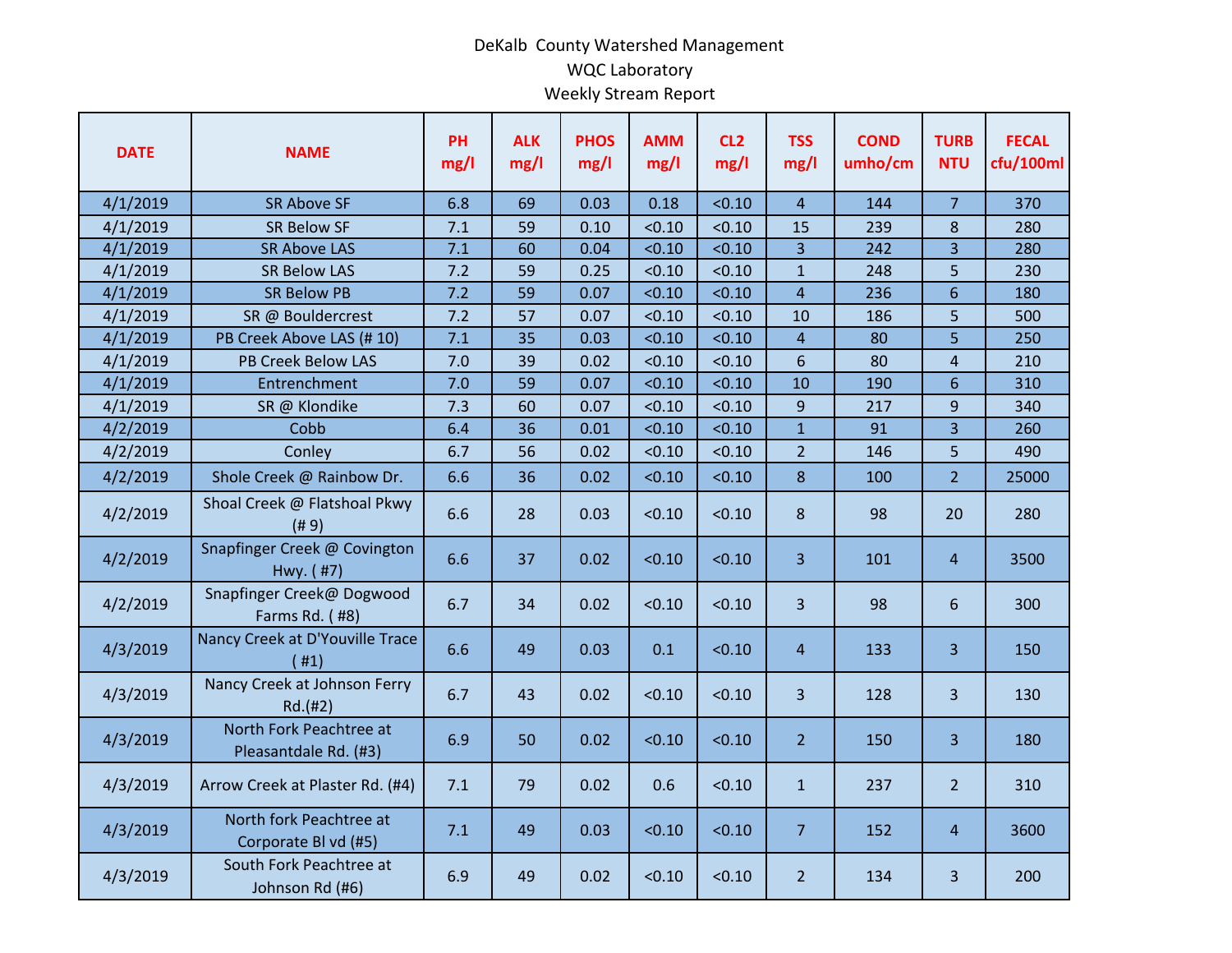## DeKalb County Watershed Management WQC Laboratory Weekly Stream Report

| <b>DATE</b> | <b>NAME</b>                                      | <b>PH</b><br>mg/l | <b>ALK</b><br>mg/l | <b>PHOS</b><br>mg/l | <b>AMM</b><br>mg/l | CL <sub>2</sub><br>mg/l | <b>TSS</b><br>mg/l | <b>COND</b><br>umho/cm | <b>TURB</b><br><b>NTU</b> | <b>FECAL</b><br>cfu/100ml |
|-------------|--------------------------------------------------|-------------------|--------------------|---------------------|--------------------|-------------------------|--------------------|------------------------|---------------------------|---------------------------|
| 4/1/2019    | <b>SR Above SF</b>                               | 6.8               | 69                 | 0.03                | 0.18               | < 0.10                  | $\overline{4}$     | 144                    | $\overline{7}$            | 370                       |
| 4/1/2019    | <b>SR Below SF</b>                               | 7.1               | 59                 | 0.10                | < 0.10             | < 0.10                  | 15                 | 239                    | $\,8\,$                   | 280                       |
| 4/1/2019    | <b>SR Above LAS</b>                              | 7.1               | 60                 | 0.04                | < 0.10             | < 0.10                  | 3                  | 242                    | $\overline{3}$            | 280                       |
| 4/1/2019    | <b>SR Below LAS</b>                              | 7.2               | 59                 | 0.25                | < 0.10             | < 0.10                  | $\mathbf{1}$       | 248                    | 5                         | 230                       |
| 4/1/2019    | <b>SR Below PB</b>                               | 7.2               | 59                 | 0.07                | < 0.10             | < 0.10                  | $\overline{4}$     | 236                    | $6\overline{6}$           | 180                       |
| 4/1/2019    | SR @ Bouldercrest                                | 7.2               | 57                 | 0.07                | < 0.10             | < 0.10                  | 10                 | 186                    | 5                         | 500                       |
| 4/1/2019    | PB Creek Above LAS (#10)                         | 7.1               | 35                 | 0.03                | < 0.10             | < 0.10                  | 4                  | 80                     | 5                         | 250                       |
| 4/1/2019    | <b>PB Creek Below LAS</b>                        | 7.0               | 39                 | 0.02                | < 0.10             | < 0.10                  | 6                  | 80                     | $\overline{4}$            | 210                       |
| 4/1/2019    | Entrenchment                                     | 7.0               | 59                 | 0.07                | < 0.10             | < 0.10                  | 10                 | 190                    | $6\phantom{1}$            | 310                       |
| 4/1/2019    | SR @ Klondike                                    | 7.3               | 60                 | 0.07                | < 0.10             | < 0.10                  | 9                  | 217                    | 9                         | 340                       |
| 4/2/2019    | Cobb                                             | 6.4               | 36                 | 0.01                | < 0.10             | < 0.10                  | $\mathbf{1}$       | 91                     | $\overline{3}$            | 260                       |
| 4/2/2019    | Conley                                           | 6.7               | 56                 | 0.02                | < 0.10             | < 0.10                  | $\overline{2}$     | 146                    | 5                         | 490                       |
| 4/2/2019    | Shole Creek @ Rainbow Dr.                        | 6.6               | 36                 | 0.02                | < 0.10             | < 0.10                  | 8                  | 100                    | $\overline{2}$            | 25000                     |
| 4/2/2019    | Shoal Creek @ Flatshoal Pkwy<br>(# 9)            | 6.6               | 28                 | 0.03                | < 0.10             | < 0.10                  | 8                  | 98                     | 20                        | 280                       |
| 4/2/2019    | Snapfinger Creek @ Covington<br>Hwy. (#7)        | 6.6               | 37                 | 0.02                | < 0.10             | < 0.10                  | 3                  | 101                    | $\overline{4}$            | 3500                      |
| 4/2/2019    | Snapfinger Creek@ Dogwood<br>Farms Rd. (#8)      | 6.7               | 34                 | 0.02                | < 0.10             | < 0.10                  | 3                  | 98                     | 6                         | 300                       |
| 4/3/2019    | Nancy Creek at D'Youville Trace<br>(#1)          | 6.6               | 49                 | 0.03                | 0.1                | < 0.10                  | $\overline{4}$     | 133                    | 3 <sup>1</sup>            | 150                       |
| 4/3/2019    | Nancy Creek at Johnson Ferry<br>Rd.(#2)          | 6.7               | 43                 | 0.02                | < 0.10             | < 0.10                  | 3                  | 128                    | $\overline{3}$            | 130                       |
| 4/3/2019    | North Fork Peachtree at<br>Pleasantdale Rd. (#3) | 6.9               | 50                 | 0.02                | < 0.10             | < 0.10                  | 2 <sup>1</sup>     | 150                    | $\overline{3}$            | 180                       |
| 4/3/2019    | Arrow Creek at Plaster Rd. (#4)                  | 7.1               | 79                 | 0.02                | 0.6                | < 0.10                  | $\mathbf{1}$       | 237                    | 2 <sup>2</sup>            | 310                       |
| 4/3/2019    | North fork Peachtree at<br>Corporate Bl vd (#5)  | 7.1               | 49                 | 0.03                | < 0.10             | < 0.10                  | $\overline{7}$     | 152                    | $\overline{4}$            | 3600                      |
| 4/3/2019    | South Fork Peachtree at<br>Johnson Rd (#6)       | 6.9               | 49                 | 0.02                | < 0.10             | < 0.10                  | $\overline{2}$     | 134                    | $\overline{3}$            | 200                       |